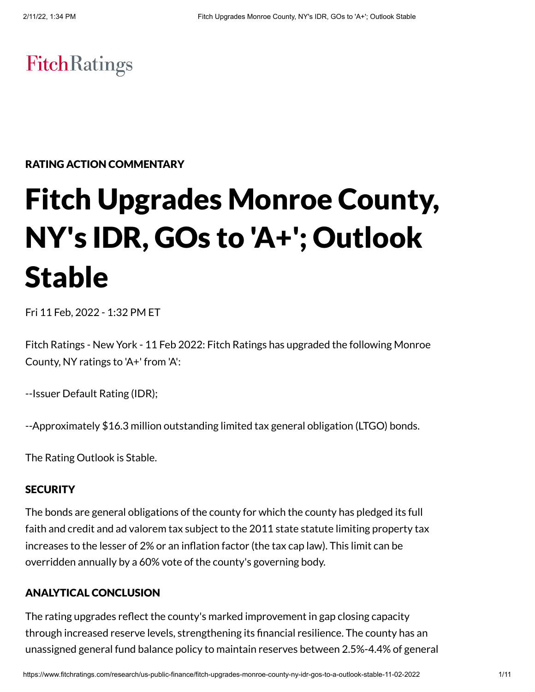## **FitchRatings**

## RATING ACTION COMMENTARY

# Fitch Upgrades Monroe County, NY's IDR, GOs to 'A+'; Outlook Stable

Fri 11 Feb, 2022 - 1:32 PM ET

Fitch Ratings - New York - 11 Feb 2022: Fitch Ratings has upgraded the following Monroe County, NY ratings to 'A+' from 'A':

--Issuer Default Rating (IDR);

--Approximately \$16.3 million outstanding limited tax general obligation (LTGO) bonds.

The Rating Outlook is Stable.

## **SECURITY**

The bonds are general obligations of the county for which the county has pledged its full faith and credit and ad valorem tax subject to the 2011 state statute limiting property tax increases to the lesser of 2% or an inflation factor (the tax cap law). This limit can be overridden annually by a 60% vote of the county's governing body.

## ANALYTICAL CONCLUSION

The rating upgrades reflect the county's marked improvement in gap closing capacity through increased reserve levels, strengthening its financial resilience. The county has an unassigned general fund balance policy to maintain reserves between 2.5%-4.4% of general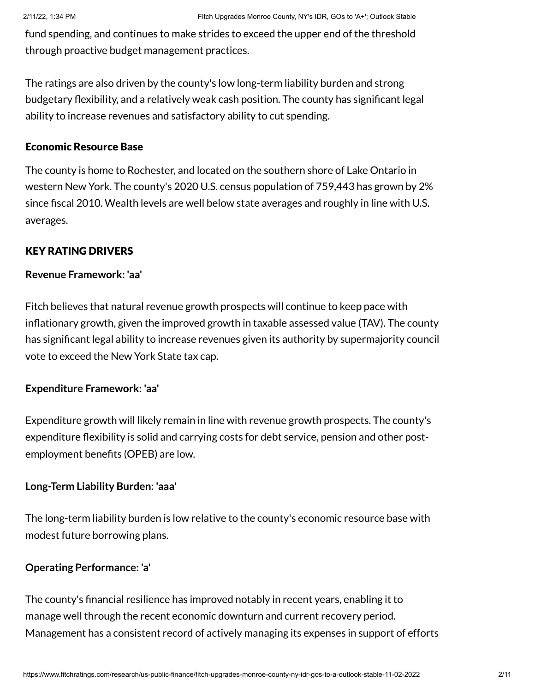fund spending, and continues to make strides to exceed the upper end of the threshold through proactive budget management practices.

The ratings are also driven by the county's low long-term liability burden and strong budgetary flexibility, and a relatively weak cash position. The county has significant legal ability to increase revenues and satisfactory ability to cut spending.

## Economic Resource Base

The county is home to Rochester, and located on the southern shore of Lake Ontario in western New York. The county's 2020 U.S. census population of 759,443 has grown by 2% since fiscal 2010. Wealth levels are well below state averages and roughly in line with U.S. averages.

## KEY RATING DRIVERS

#### **Revenue Framework: 'aa'**

Fitch believes that natural revenue growth prospects will continue to keep pace with inflationary growth, given the improved growth in taxable assessed value (TAV). The county has significant legal ability to increase revenues given its authority by supermajority council vote to exceed the New York State tax cap.

#### **Expenditure Framework: 'aa'**

Expenditure growth will likely remain in line with revenue growth prospects. The county's expenditure flexibility is solid and carrying costs for debt service, pension and other postemployment benefits (OPEB) are low.

## **Long-Term Liability Burden: 'aaa'**

The long-term liability burden is low relative to the county's economic resource base with modest future borrowing plans.

## **Operating Performance: 'a'**

The county's financial resilience has improved notably in recent years, enabling it to manage well through the recent economic downturn and current recovery period. Management has a consistent record of actively managing its expenses in support of efforts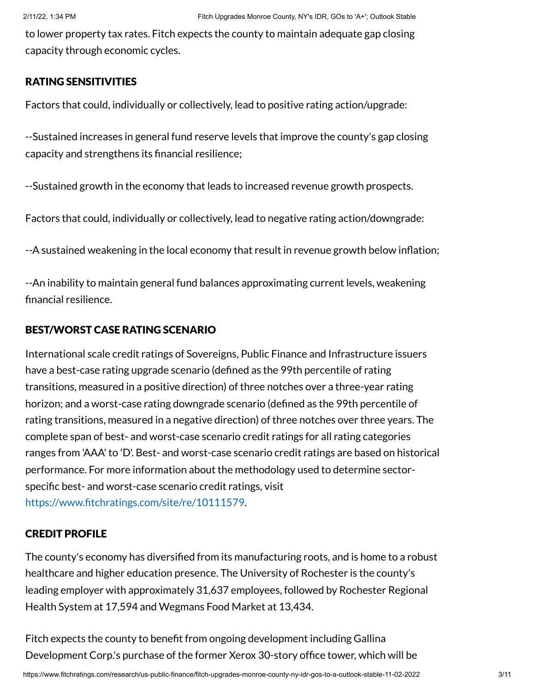to lower property tax rates. Fitch expects the county to maintain adequate gap closing capacity through economic cycles.

## RATING SENSITIVITIES

Factors that could, individually or collectively, lead to positive rating action/upgrade:

--Sustained increases in general fund reserve levels that improve the county's gap closing capacity and strengthens its financial resilience;

--Sustained growth in the economy that leads to increased revenue growth prospects.

Factors that could, individually or collectively, lead to negative rating action/downgrade:

--A sustained weakening in the local economy that result in revenue growth below inflation;

--An inability to maintain general fund balances approximating current levels, weakening financial resilience.

## BEST/WORST CASE RATING SCENARIO

International scale credit ratings of Sovereigns, Public Finance and Infrastructure issuers have a best-case rating upgrade scenario (defined as the 99th percentile of rating transitions, measured in a positive direction) of three notches over a three-year rating horizon; and a worst-case rating downgrade scenario (defined as the 99th percentile of rating transitions, measured in a negative direction) of three notches over three years. The complete span of best- and worst-case scenario credit ratings for all rating categories ranges from 'AAA' to 'D'. Best- and worst-case scenario credit ratings are based on historical performance. For more information about the methodology used to determine sectorspecific best- and worst-case scenario credit ratings, visit [https://www.fitchratings.com/site/re/10111579.](https://www.fitchratings.com/site/re/10111579)

## CREDIT PROFILE

The county's economy has diversified from its manufacturing roots, and is home to a robust healthcare and higher education presence. The University of Rochester is the county's leading employer with approximately 31,637 employees, followed by Rochester Regional Health System at 17,594 and Wegmans Food Market at 13,434.

Fitch expects the county to benefit from ongoing development including Gallina Development Corp.'s purchase of the former Xerox 30-story office tower, which will be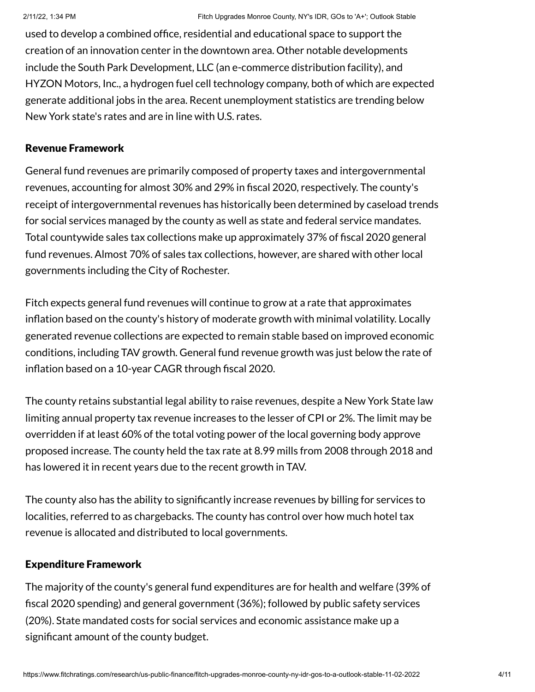used to develop a combined office, residential and educational space to support the creation of an innovation center in the downtown area. Other notable developments include the South Park Development, LLC (an e-commerce distribution facility), and HYZON Motors, Inc., a hydrogen fuel cell technology company, both of which are expected generate additional jobs in the area. Recent unemployment statistics are trending below New York state's rates and are in line with U.S. rates.

## Revenue Framework

General fund revenues are primarily composed of property taxes and intergovernmental revenues, accounting for almost 30% and 29% in fiscal 2020, respectively. The county's receipt of intergovernmental revenues has historically been determined by caseload trends for social services managed by the county as well as state and federal service mandates. Total countywide sales tax collections make up approximately 37% of fiscal 2020 general fund revenues. Almost 70% of sales tax collections, however, are shared with other local governments including the City of Rochester.

Fitch expects general fund revenues will continue to grow at a rate that approximates inflation based on the county's history of moderate growth with minimal volatility. Locally generated revenue collections are expected to remain stable based on improved economic conditions, including TAV growth. General fund revenue growth was just below the rate of inflation based on a 10-year CAGR through fiscal 2020.

The county retains substantial legal ability to raise revenues, despite a New York State law limiting annual property tax revenue increases to the lesser of CPI or 2%. The limit may be overridden if at least 60% of the total voting power of the local governing body approve proposed increase. The county held the tax rate at 8.99 mills from 2008 through 2018 and has lowered it in recent years due to the recent growth in TAV.

The county also has the ability to significantly increase revenues by billing for services to localities, referred to as chargebacks. The county has control over how much hotel tax revenue is allocated and distributed to local governments.

## Expenditure Framework

The majority of the county's general fund expenditures are for health and welfare (39% of fiscal 2020 spending) and general government (36%); followed by public safety services (20%). State mandated costs for social services and economic assistance make up a significant amount of the county budget.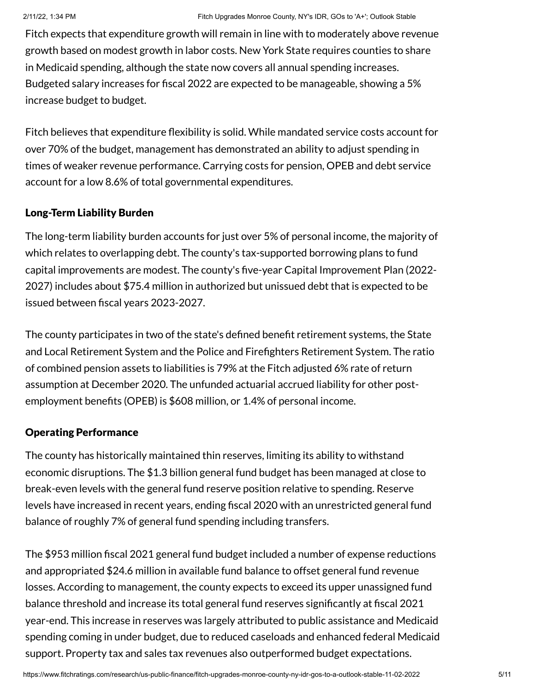Fitch expects that expenditure growth will remain in line with to moderately above revenue growth based on modest growth in labor costs. New York State requires counties to share in Medicaid spending, although the state now covers all annual spending increases. Budgeted salary increases for fiscal 2022 are expected to be manageable, showing a 5% increase budget to budget.

Fitch believes that expenditure flexibility is solid. While mandated service costs account for over 70% of the budget, management has demonstrated an ability to adjust spending in times of weaker revenue performance. Carrying costs for pension, OPEB and debt service account for a low 8.6% of total governmental expenditures.

## Long-Term Liability Burden

The long-term liability burden accounts for just over 5% of personal income, the majority of which relates to overlapping debt. The county's tax-supported borrowing plans to fund capital improvements are modest. The county's five-year Capital Improvement Plan (2022- 2027) includes about \$75.4 million in authorized but unissued debt that is expected to be issued between fiscal years 2023-2027.

The county participates in two of the state's defined benefit retirement systems, the State and Local Retirement System and the Police and Firefighters Retirement System. The ratio of combined pension assets to liabilities is 79% at the Fitch adjusted 6% rate of return assumption at December 2020. The unfunded actuarial accrued liability for other postemployment benefits (OPEB) is \$608 million, or 1.4% of personal income.

## Operating Performance

The county has historically maintained thin reserves, limiting its ability to withstand economic disruptions. The \$1.3 billion general fund budget has been managed at close to break-even levels with the general fund reserve position relative to spending. Reserve levels have increased in recent years, ending fiscal 2020 with an unrestricted general fund balance of roughly 7% of general fund spending including transfers.

The \$953 million fiscal 2021 general fund budget included a number of expense reductions and appropriated \$24.6 million in available fund balance to offset general fund revenue losses. According to management, the county expects to exceed its upper unassigned fund balance threshold and increase its total general fund reserves significantly at fiscal 2021 year-end. This increase in reserves was largely attributed to public assistance and Medicaid spending coming in under budget, due to reduced caseloads and enhanced federal Medicaid support. Property tax and sales tax revenues also outperformed budget expectations.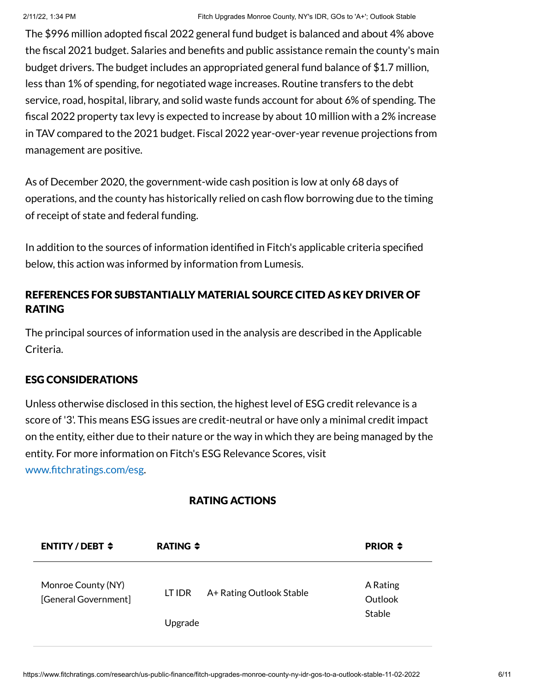The \$996 million adopted fiscal 2022 general fund budget is balanced and about 4% above the fiscal 2021 budget. Salaries and benefits and public assistance remain the county's main budget drivers. The budget includes an appropriated general fund balance of \$1.7 million, less than 1% of spending, for negotiated wage increases. Routine transfers to the debt service, road, hospital, library, and solid waste funds account for about 6% of spending. The fiscal 2022 property tax levy is expected to increase by about 10 million with a 2% increase in TAV compared to the 2021 budget. Fiscal 2022 year-over-year revenue projections from management are positive.

As of December 2020, the government-wide cash position is low at only 68 days of operations, and the county has historically relied on cash flow borrowing due to the timing of receipt of state and federal funding.

In addition to the sources of information identified in Fitch's applicable criteria specified below, this action was informed by information from Lumesis.

## REFERENCES FOR SUBSTANTIALLY MATERIAL SOURCE CITED AS KEY DRIVER OF RATING

The principal sources of information used in the analysis are described in the Applicable Criteria.

## ESG CONSIDERATIONS

Unless otherwise disclosed in this section, the highest level of ESG credit relevance is a score of '3'. This means ESG issues are credit-neutral or have only a minimal credit impact on the entity, either due to their nature or the way in which they are being managed by the entity. For more information on Fitch's ESG Relevance Scores, visit [www.fitchratings.com/esg.](http://www.fitchratings.com/esg)

## RATING ACTIONS

| <b>ENTITY/DEBT <math>\div</math></b>       | <b>RATING ≑</b> |                          | <b>PRIOR <math>\div</math></b> |
|--------------------------------------------|-----------------|--------------------------|--------------------------------|
| Monroe County (NY)<br>[General Government] | LT IDR          | A+ Rating Outlook Stable | A Rating<br>Outlook            |
|                                            | Upgrade         |                          | Stable                         |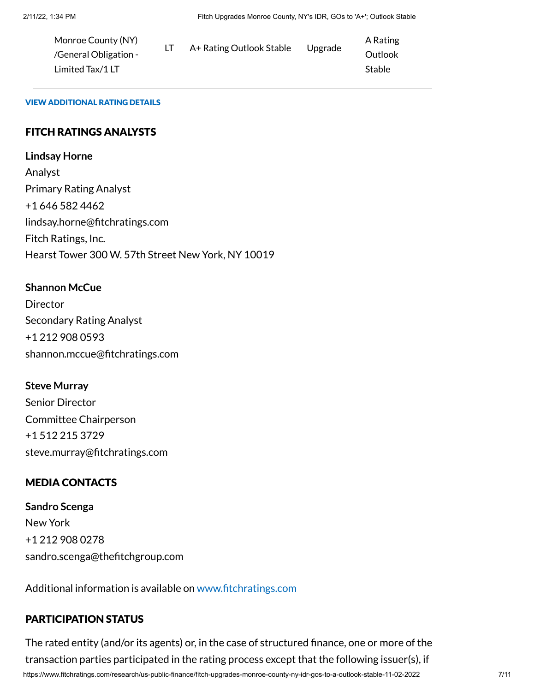| Monroe County (NY)    | A+ Rating Outlook Stable | Upgrade | A Rating |
|-----------------------|--------------------------|---------|----------|
| /General Obligation - |                          |         | Outlook  |
| Limited Tax/1 LT      |                          |         | Stable   |

#### VIEW ADDITIONAL RATING DETAILS

#### FITCH RATINGS ANALYSTS

#### **Lindsay Horne**

Analyst Primary Rating Analyst +1 646 582 4462 lindsay.horne@fitchratings.com Fitch Ratings, Inc. Hearst Tower 300 W. 57th Street New York, NY 10019

#### **Shannon McCue**

**Director** Secondary Rating Analyst +1 212 908 0593 shannon.mccue@fitchratings.com

## **Steve Murray**

Senior Director Committee Chairperson +1 512 215 3729 steve.murray@fitchratings.com

## MEDIA CONTACTS

**Sandro Scenga** New York +1 212 908 0278 sandro.scenga@thefitchgroup.com

Additional information is available on [www.fitchratings.com](http://www.fitchratings.com/)

## PARTICIPATION STATUS

https://www.fitchratings.com/research/us-public-finance/fitch-upgrades-monroe-county-ny-idr-gos-to-a-outlook-stable-11-02-2022 7/11 The rated entity (and/or its agents) or, in the case of structured finance, one or more of the transaction parties participated in the rating process except that the following issuer(s), if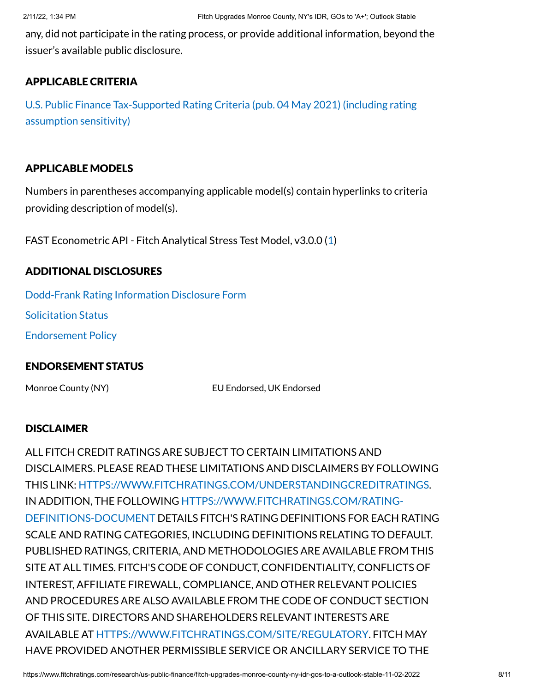any, did not participate in the rating process, or provide additional information, beyond the issuer's available public disclosure.

## APPLICABLE CRITERIA

U.S. Public Finance [Tax-Supported Rating](https://www.fitchratings.com/research/us-public-finance/us-public-finance-tax-supported-rating-criteria-04-05-2021) Criteria (pub. 04 May 2021) (including rating assumption sensitivity)

## APPLICABLE MODELS

Numbers in parentheses accompanying applicable model(s) contain hyperlinks to criteria providing description of model(s).

FAST Econometric API - Fitch Analytical Stress Test Model, v3.0.0 [\(1](https://www.fitchratings.com/research/us-public-finance/us-public-finance-tax-supported-rating-criteria-04-05-2021))

## ADDITIONAL DISCLOSURES

[Dodd-Frank](https://www.fitchratings.com/research/us-public-finance/fitch-upgrades-monroe-county-ny-idr-gos-to-a-outlook-stable-11-02-2022/dodd-frank-disclosure) Rating Information Disclosure Form

Solicitation Status

[Endorsement](#page-10-0) Policy

## ENDORSEMENT STATUS

Monroe County (NY) The County COVID EU Endorsed, UK Endorsed

## DISCLAIMER

ALL FITCH CREDIT RATINGS ARE SUBJECT TO CERTAIN LIMITATIONS AND DISCLAIMERS. PLEASE READ THESE LIMITATIONS AND DISCLAIMERS BY FOLLOWING THIS LINK: [HTTPS://WWW.FITCHRATINGS.COM/UNDERSTANDINGCREDITRATINGS](https://www.fitchratings.com/UNDERSTANDINGCREDITRATINGS). IN ADDITION, THE FOLLOWING [HTTPS://WWW.FITCHRATINGS.COM/RATING-](https://www.fitchratings.com/rating-definitions-document)DEFINITIONS-DOCUMENT DETAILS FITCH'S RATING DEFINITIONS FOR EACH RATING SCALE AND RATING CATEGORIES, INCLUDING DEFINITIONS RELATING TO DEFAULT. PUBLISHED RATINGS, CRITERIA, AND METHODOLOGIES ARE AVAILABLE FROM THIS SITE AT ALL TIMES. FITCH'S CODE OF CONDUCT, CONFIDENTIALITY, CONFLICTS OF INTEREST, AFFILIATE FIREWALL, COMPLIANCE, AND OTHER RELEVANT POLICIES AND PROCEDURES ARE ALSO AVAILABLE FROM THE CODE OF CONDUCT SECTION OF THIS SITE. DIRECTORS AND SHAREHOLDERS RELEVANT INTERESTS ARE AVAILABLE AT [HTTPS://WWW.FITCHRATINGS.COM/SITE/REGULATORY](https://www.fitchratings.com/site/regulatory). FITCH MAY HAVE PROVIDED ANOTHER PERMISSIBLE SERVICE OR ANCILLARY SERVICE TO THE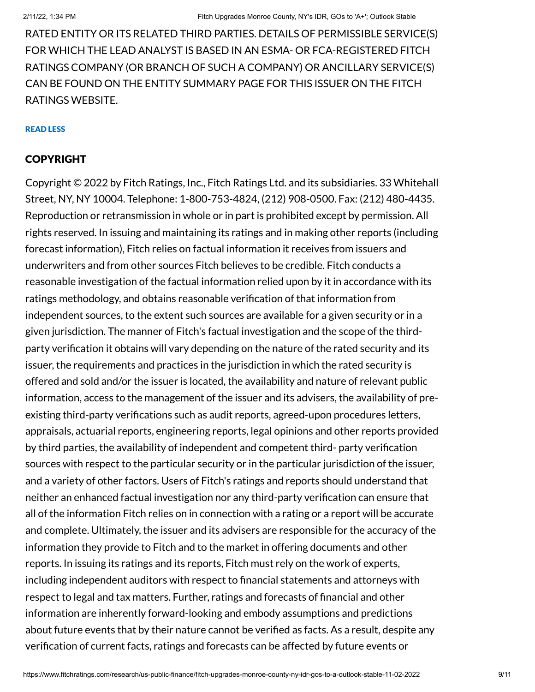RATED ENTITY OR ITS RELATED THIRD PARTIES. DETAILS OF PERMISSIBLE SERVICE(S) FOR WHICH THE LEAD ANALYST IS BASED IN AN ESMA- OR FCA-REGISTERED FITCH RATINGS COMPANY (OR BRANCH OF SUCH A COMPANY) OR ANCILLARY SERVICE(S) CAN BE FOUND ON THE ENTITY SUMMARY PAGE FOR THIS ISSUER ON THE FITCH RATINGS WEBSITE.

#### READ LESS

## COPYRIGHT

Copyright © 2022 by Fitch Ratings, Inc., Fitch Ratings Ltd. and its subsidiaries. 33 Whitehall Street, NY, NY 10004. Telephone: 1-800-753-4824, (212) 908-0500. Fax: (212) 480-4435. Reproduction or retransmission in whole or in part is prohibited except by permission. All rights reserved. In issuing and maintaining its ratings and in making other reports (including forecast information), Fitch relies on factual information it receives from issuers and underwriters and from other sources Fitch believes to be credible. Fitch conducts a reasonable investigation of the factual information relied upon by it in accordance with its ratings methodology, and obtains reasonable verification of that information from independent sources, to the extent such sources are available for a given security or in a given jurisdiction. The manner of Fitch's factual investigation and the scope of the thirdparty verification it obtains will vary depending on the nature of the rated security and its issuer, the requirements and practices in the jurisdiction in which the rated security is offered and sold and/or the issuer is located, the availability and nature of relevant public information, access to the management of the issuer and its advisers, the availability of preexisting third-party verifications such as audit reports, agreed-upon procedures letters, appraisals, actuarial reports, engineering reports, legal opinions and other reports provided by third parties, the availability of independent and competent third- party verification sources with respect to the particular security or in the particular jurisdiction of the issuer, and a variety of other factors. Users of Fitch's ratings and reports should understand that neither an enhanced factual investigation nor any third-party verification can ensure that all of the information Fitch relies on in connection with a rating or a report will be accurate and complete. Ultimately, the issuer and its advisers are responsible for the accuracy of the information they provide to Fitch and to the market in offering documents and other reports. In issuing its ratings and its reports, Fitch must rely on the work of experts, including independent auditors with respect to financial statements and attorneys with respect to legal and tax matters. Further, ratings and forecasts of financial and other information are inherently forward-looking and embody assumptions and predictions about future events that by their nature cannot be verified as facts. As a result, despite any verification of current facts, ratings and forecasts can be affected by future events or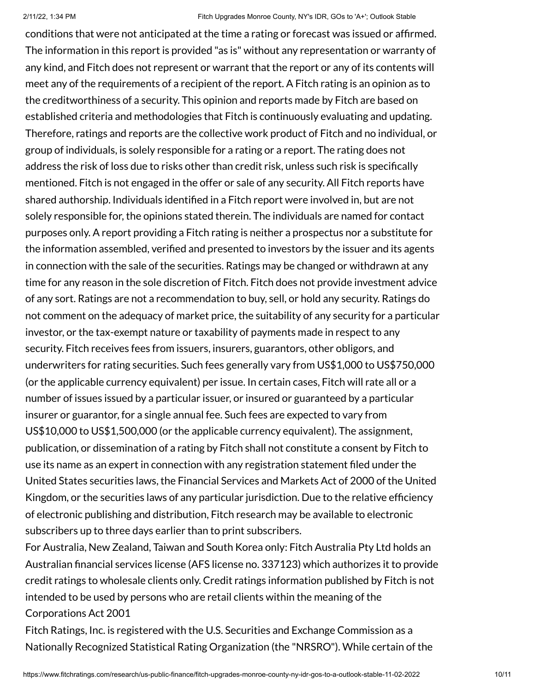conditions that were not anticipated at the time a rating or forecast was issued or affirmed. The information in this report is provided "as is" without any representation or warranty of any kind, and Fitch does not represent or warrant that the report or any of its contents will meet any of the requirements of a recipient of the report. A Fitch rating is an opinion as to the creditworthiness of a security. This opinion and reports made by Fitch are based on established criteria and methodologies that Fitch is continuously evaluating and updating. Therefore, ratings and reports are the collective work product of Fitch and no individual, or group of individuals, is solely responsible for a rating or a report. The rating does not address the risk of loss due to risks other than credit risk, unless such risk is specifically mentioned. Fitch is not engaged in the offer or sale of any security. All Fitch reports have shared authorship. Individuals identified in a Fitch report were involved in, but are not solely responsible for, the opinions stated therein. The individuals are named for contact purposes only. A report providing a Fitch rating is neither a prospectus nor a substitute for the information assembled, verified and presented to investors by the issuer and its agents in connection with the sale of the securities. Ratings may be changed or withdrawn at any time for any reason in the sole discretion of Fitch. Fitch does not provide investment advice of any sort. Ratings are not a recommendation to buy, sell, or hold any security. Ratings do not comment on the adequacy of market price, the suitability of any security for a particular investor, or the tax-exempt nature or taxability of payments made in respect to any security. Fitch receives fees from issuers, insurers, guarantors, other obligors, and underwriters for rating securities. Such fees generally vary from US\$1,000 to US\$750,000 (or the applicable currency equivalent) per issue. In certain cases, Fitch will rate all or a number of issues issued by a particular issuer, or insured or guaranteed by a particular insurer or guarantor, for a single annual fee. Such fees are expected to vary from US\$10,000 to US\$1,500,000 (or the applicable currency equivalent). The assignment, publication, or dissemination of a rating by Fitch shall not constitute a consent by Fitch to use its name as an expert in connection with any registration statement filed under the United States securities laws, the Financial Services and Markets Act of 2000 of the United Kingdom, or the securities laws of any particular jurisdiction. Due to the relative efficiency of electronic publishing and distribution, Fitch research may be available to electronic subscribers up to three days earlier than to print subscribers.

For Australia, New Zealand, Taiwan and South Korea only: Fitch Australia Pty Ltd holds an Australian financial services license (AFS license no. 337123) which authorizes it to provide credit ratings to wholesale clients only. Credit ratings information published by Fitch is not intended to be used by persons who are retail clients within the meaning of the Corporations Act 2001

Fitch Ratings, Inc. is registered with the U.S. Securities and Exchange Commission as a Nationally Recognized Statistical Rating Organization (the "NRSRO"). While certain of the